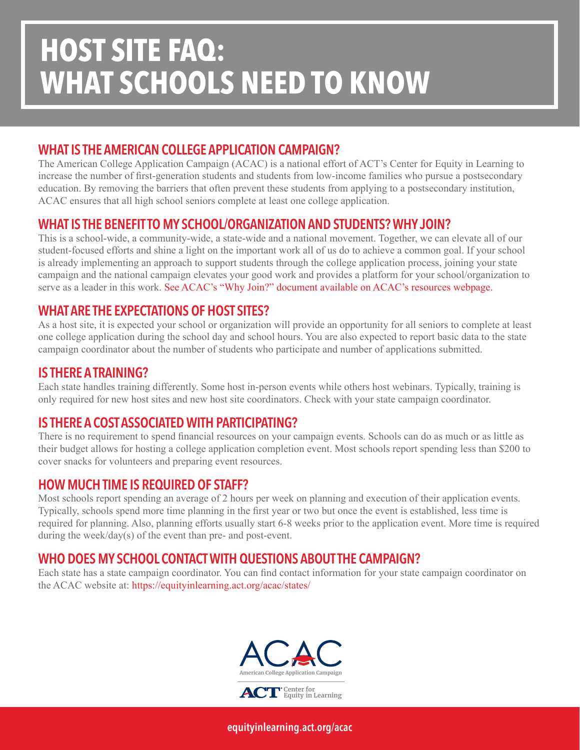# **HOST SITE FAQ: WHAT SCHOOLS NEED TO KNOW**

# WHAT IS THE AMERICAN COLLEGE APPLICATION CAMPAIGN?

The American College Application Campaign (ACAC) is a national effort of ACT's Center for Equity in Learning to increase the number of first-generation students and students from low-income families who pursue a postsecondary education. By removing the barriers that often prevent these students from applying to a postsecondary institution, ACAC ensures that all high school seniors complete at least one college application.

# WHAT IS THE BENEFIT TO MY SCHOOL/ORGANIZATION AND STUDENTS? WHY JOIN?

This is a school-wide, a community-wide, a state-wide and a national movement. Together, we can elevate all of our student-focused efforts and shine a light on the important work all of us do to achieve a common goal. If your school is already implementing an approach to support students through the college application process, joining your state campaign and the national campaign elevates your good work and provides a platform for your school/organization to serve as a leader in this work. See ACAC's "Why Join?" document available on ACAC's resources webpage.

### WHAT ARE THE EXPECTATIONS OF HOST SITES?

As a host site, it is expected your school or organization will provide an opportunity for all seniors to complete at least one college application during the school day and school hours. You are also expected to report basic data to the state campaign coordinator about the number of students who participate and number of applications submitted.

#### IS THERE A TRAINING?

Each state handles training differently. Some host in-person events while others host webinars. Typically, training is only required for new host sites and new host site coordinators. Check with your state campaign coordinator.

# IS THERE A COST ASSOCIATED WITH PARTICIPATING?

There is no requirement to spend financial resources on your campaign events. Schools can do as much or as little as their budget allows for hosting a college application completion event. Most schools report spending less than \$200 to cover snacks for volunteers and preparing event resources.

#### HOW MUCH TIME IS REQUIRED OF STAFF?

Most schools report spending an average of 2 hours per week on planning and execution of their application events. Typically, schools spend more time planning in the first year or two but once the event is established, less time is required for planning. Also, planning efforts usually start 6-8 weeks prior to the application event. More time is required during the week/day(s) of the event than pre- and post-event.

# WHO DOES MY SCHOOL CONTACT WITH QUESTIONS ABOUT THE CAMPAIGN?

Each state has a state campaign coordinator. You can find contact information for your state campaign coordinator on the ACAC website at:<https://equityinlearning.act.org/acac/states/>



[equityinlearning.act.org/acac](https://equityinlearning.act.org/acac)